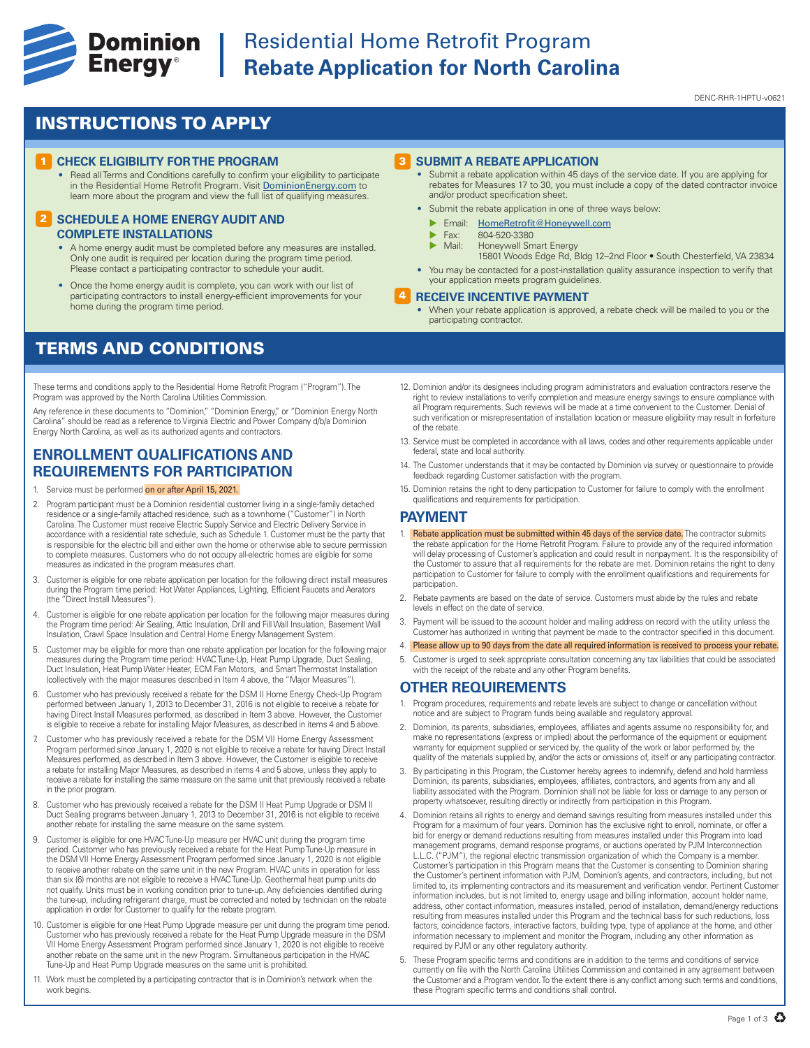

# **Experience Cominion** Residential Home Retrofit Program<br> **Energy**<sup>®</sup> Rebate Application for North Caroli **Rebate Application for North Carolina**

DENC-RHR-1HPTU-v0621

## INSTRUCTIONS TO APPLY

#### **1 CHECK ELIGIBILITY FOR THE PROGRAM**

• Read all Terms and Conditions carefully to confirm your eligibility to participate in the Residential Home Retrofit Program. Visit DominionEnergy.com to learn more about the program and view the full list of qualifying measures.

#### **2 SCHEDULE A HOME ENERGY AUDIT AND COMPLETE INSTALLATIONS**

- A home energy audit must be completed before any measures are installed. Only one audit is required per location during the program time period. Please contact a participating contractor to schedule your audit
- Once the home energy audit is complete, you can work with our list of participating contractors to install energy-efficient improvements for your home during the program time period.

## TERMS AND CONDITIONS

These terms and conditions apply to the Residential Home Retrofit Program ("Program"). The Program was approved by the North Carolina Utilities Commission.

Any reference in these documents to "Dominion," "Dominion Energy," or "Dominion Energy North Carolina" should be read as a reference to Virginia Electric and Power Company d/b/a Dominion Energy North Carolina, as well as its authorized agents and contractors.

### **ENROLLMENT QUALIFICATIONS AND REQUIREMENTS FOR PARTICIPATION**

- 1. Service must be performed on or after April 15, 2021.
- 2. Program participant must be a Dominion residential customer living in a single-family detached residence or a single-family attached residence, such as a townhome ("Customer") in North Carolina. The Customer must receive Electric Supply Service and Electric Delivery Service in accordance with a residential rate schedule, such as Schedule 1. Customer must be the party that is responsible for the electric bill and either own the home or otherwise able to secure permission to complete measures. Customers who do not occupy all-electric homes are eligible for some measures as indicated in the program measures chart.
- 3. Customer is eligible for one rebate application per location for the following direct install measures during the Program time period: Hot Water Appliances, Lighting, Efficient Faucets and Aerators (the "Direct Install Measures").
- 4. Customer is eligible for one rebate application per location for the following major measures during the Program time period: Air Sealing, Attic Insulation, Drill and Fill Wall Insulation, Basement Wall Insulation, Crawl Space Insulation and Central Home Energy Management System.
- 5. Customer may be eligible for more than one rebate application per location for the following major measures during the Program time period: HVAC Tune-Up, Heat Pump Upgrade, Duct Sealing, Duct Insulation, Heat Pump Water Heater, ECM Fan Motors, and Smart Thermostat Installation (collectively with the major measures described in Item 4 above, the "Major Measures").
- 6. Customer who has previously received a rebate for the DSM II Home Energy Check-Up Program performed between January 1, 2013 to December 31, 2016 is not eligible to receive a rebate for having Direct Install Measures performed, as described in Item 3 above. However, the Customer is eligible to receive a rebate for installing Major Measures, as described in items 4 and 5 above.
- 7. Customer who has previously received a rebate for the DSM VII Home Energy Assessment Program performed since January 1, 2020 is not eligible to receive a rebate for having Direct Install Measures performed, as described in Item 3 above. However, the Customer is eligible to receive a rebate for installing Major Measures, as described in items 4 and 5 above, unless they apply to receive a rebate for installing the same measure on the same unit that previously received a rebate in the prior program.
- 8. Customer who has previously received a rebate for the DSM II Heat Pump Upgrade or DSM II Duct Sealing programs between January 1, 2013 to December 31, 2016 is not eligible to receive another rebate for installing the same measure on the same system.
- 9. Customer is eligible for one HVAC Tune-Up measure per HVAC unit during the program time period. Customer who has previously received a rebate for the Heat Pump Tune-Up measure in the DSM VII Home Energy Assessment Program performed since January 1, 2020 is not eligible to receive another rebate on the same unit in the new Program. HVAC units in operation for less than six (6) months are not eligible to receive a HVAC Tune-Up. Geothermal heat pump units do not qualify. Units must be in working condition prior to tune-up. Any deficiencies identified during the tune-up, including refrigerant charge, must be corrected and noted by technician on the rebate application in order for Customer to qualify for the rebate program.
- 10. Customer is eligible for one Heat Pump Upgrade measure per unit during the program time period. Customer who has previously received a rebate for the Heat Pump Upgrade measure in the DSM VII Home Energy Assessment Program performed since January 1, 2020 is not eligible to receive another rebate on the same unit in the new Program. Simultaneous participation in the HVAC Tune-Up and Heat Pump Upgrade measures on the same unit is prohibited.
- 11. Work must be completed by a participating contractor that is in Dominion's network when the work begins.

#### 3 **SUBMIT A REBATE APPLICATION**

- Submit a rebate application within 45 days of the service date. If you are applying for rebates for Measures 17 to 30, you must include a copy of the dated contractor invoice and/or product specification sheet.
- Submit the rebate application in one of three ways below:
	- **Email:** HomeRetrofit@Honeywell.com
	- $\triangleright$  Fax: 804-520-3380<br> $\triangleright$  Mail: Honeywell Sm
	- Honeywell Smart Energy
	- 15801 Woods Edge Rd, Bldg 12–2nd Floor South Chesterfield, VA 23834
- You may be contacted for a post-installation quality assurance inspection to verify that your application meets program guidelines.

#### 4 **RECEIVE INCENTIVE PAYMENT**

- When your rebate application is approved, a rebate check will be mailed to you or the participating contractor.
- 12. Dominion and/or its designees including program administrators and evaluation contractors reserve the right to review installations to verify completion and measure energy savings to ensure compliance with all Program requirements. Such reviews will be made at a time convenient to the Customer. Denial of such verification or misrepresentation of installation location or measure eligibility may result in forfeiture of the rebate.
- 13. Service must be completed in accordance with all laws, codes and other requirements applicable under federal, state and local authority.
- 14. The Customer understands that it may be contacted by Dominion via survey or questionnaire to provide feedback regarding Customer satisfaction with the program.
- 15. Dominion retains the right to deny participation to Customer for failure to comply with the enrollment qualifications and requirements for participation.

#### **PAYMENT**

- 1. Rebate application must be submitted within 45 days of the service date. The contractor submits the rebate application for the Home Retrofit Program. Failure to provide any of the required information will delay processing of Customer's application and could result in nonpayment. It is the responsibility of the Customer to assure that all requirements for the rebate are met. Dominion retains the right to deny participation to Customer for failure to comply with the enrollment qualifications and requirements for participation.
- 2. Rebate payments are based on the date of service. Customers must abide by the rules and rebate levels in effect on the date of service.
- 3. Payment will be issued to the account holder and mailing address on record with the utility unless the Customer has authorized in writing that payment be made to the contractor specified in this document.
- 4. Please allow up to 90 days from the date all required information is received to process your rebate.
- 5. Customer is urged to seek appropriate consultation concerning any tax liabilities that could be associated with the receipt of the rebate and any other Program benefits

### **OTHER REQUIREMENTS**

- 1. Program procedures, requirements and rebate levels are subject to change or cancellation without notice and are subject to Program funds being available and regulatory approval.
- 2. Dominion, its parents, subsidiaries, employees, affiliates and agents assume no responsibility for, and make no representations (express or implied) about the performance of the equipment or equipment warranty for equipment supplied or serviced by, the quality of the work or labor performed by, the quality of the materials supplied by, and/or the acts or omissions of, itself or any participating contractor.
- 3. By participating in this Program, the Customer hereby agrees to indemnify, defend and hold harmless Dominion, its parents, subsidiaries, employees, affiliates, contractors, and agents from any and all liability associated with the Program. Dominion shall not be liable for loss or damage to any person or property whatsoever, resulting directly or indirectly from participation in this Program.
- 4. Dominion retains all rights to energy and demand savings resulting from measures installed under this Program for a maximum of four years. Dominion has the exclusive right to enroll, nominate, or offer a bid for energy or demand reductions resulting from measures installed under this Program into load management programs, demand response programs, or auctions operated by PJM Interconnection L.L.C. ("PJM"), the regional electric transmission organization of which the Company is a member. Customer's participation in this Program means that the Customer is consenting to Dominion sharing the Customer's pertinent information with PJM, Dominion's agents, and contractors, including, but not limited to, its implementing contractors and its measurement and verification vendor. Pertinent Customer information includes, but is not limited to, energy usage and billing information, account holder name, address, other contact information, measures installed, period of installation, demand/energy reductions resulting from measures installed under this Program and the technical basis for such reductions, loss factors, coincidence factors, interactive factors, building type, type of appliance at the home, and other information necessary to implement and monitor the Program, including any other information as required by PJM or any other regulatory authority.
- 5. These Program specific terms and conditions are in addition to the terms and conditions of service currently on file with the North Carolina Utilities Commission and contained in any agreement between the Customer and a Program vendor. To the extent there is any conflict among such terms and conditions, these Program specific terms and conditions shall control.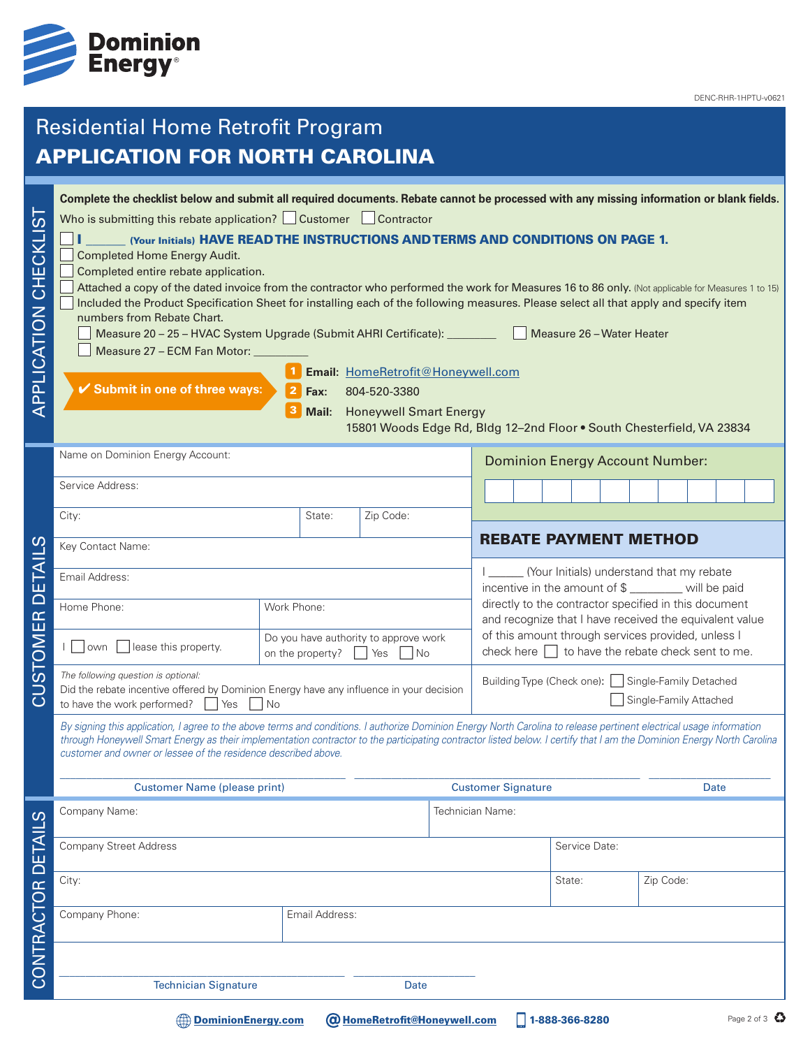

# Residential Home Retrofit Program APPLICATION FOR NORTH CAROLINA

| ທ່<br>APPLICATION CHECKLI             | Complete the checklist below and submit all required documents. Rebate cannot be processed with any missing information or blank fields.<br>Who is submitting this rebate application? $\Box$ Customer $\Box$ Contractor<br>(Your Initials) HAVE READ THE INSTRUCTIONS AND TERMS AND CONDITIONS ON PAGE 1.<br><b>Completed Home Energy Audit.</b><br>Completed entire rebate application.<br>Included the Product Specification Sheet for installing each of the following measures. Please select all that apply and specify item<br>numbers from Rebate Chart.<br>Measure 20 - 25 - HVAC System Upgrade (Submit AHRI Certificate): _________<br>Measure 27 - ECM Fan Motor:<br>✔ Submit in one of three ways: | Fax:<br>Mail:                                                            | Email: HomeRetrofit@Honeywell.com<br>804-520-3380<br><b>Honeywell Smart Energy</b> |                                                                                                 | Attached a copy of the dated invoice from the contractor who performed the work for Measures 16 to 86 only. (Not applicable for Measures 1 to 15)<br>Measure 26 - Water Heater<br>15801 Woods Edge Rd, Bldg 12-2nd Floor . South Chesterfield, VA 23834 |  |  |
|---------------------------------------|-----------------------------------------------------------------------------------------------------------------------------------------------------------------------------------------------------------------------------------------------------------------------------------------------------------------------------------------------------------------------------------------------------------------------------------------------------------------------------------------------------------------------------------------------------------------------------------------------------------------------------------------------------------------------------------------------------------------|--------------------------------------------------------------------------|------------------------------------------------------------------------------------|-------------------------------------------------------------------------------------------------|---------------------------------------------------------------------------------------------------------------------------------------------------------------------------------------------------------------------------------------------------------|--|--|
|                                       | Name on Dominion Energy Account:<br>Service Address:                                                                                                                                                                                                                                                                                                                                                                                                                                                                                                                                                                                                                                                            |                                                                          |                                                                                    | <b>Dominion Energy Account Number:</b>                                                          |                                                                                                                                                                                                                                                         |  |  |
|                                       |                                                                                                                                                                                                                                                                                                                                                                                                                                                                                                                                                                                                                                                                                                                 |                                                                          |                                                                                    |                                                                                                 |                                                                                                                                                                                                                                                         |  |  |
|                                       | City:                                                                                                                                                                                                                                                                                                                                                                                                                                                                                                                                                                                                                                                                                                           | State:                                                                   | Zip Code:                                                                          |                                                                                                 |                                                                                                                                                                                                                                                         |  |  |
|                                       | Key Contact Name:                                                                                                                                                                                                                                                                                                                                                                                                                                                                                                                                                                                                                                                                                               |                                                                          |                                                                                    |                                                                                                 | <b>REBATE PAYMENT METHOD</b>                                                                                                                                                                                                                            |  |  |
| ш                                     | Email Address:                                                                                                                                                                                                                                                                                                                                                                                                                                                                                                                                                                                                                                                                                                  |                                                                          |                                                                                    | (Your Initials) understand that my rebate<br>incentive in the amount of \$ _______ will be paid |                                                                                                                                                                                                                                                         |  |  |
| $\overline{\cap}$                     | Home Phone:                                                                                                                                                                                                                                                                                                                                                                                                                                                                                                                                                                                                                                                                                                     | Work Phone:                                                              |                                                                                    |                                                                                                 | directly to the contractor specified in this document                                                                                                                                                                                                   |  |  |
| $\mathbb{E}$<br>$\overline{\text{M}}$ | lease this property.<br>   own                                                                                                                                                                                                                                                                                                                                                                                                                                                                                                                                                                                                                                                                                  | Do you have authority to approve work<br>on the property?<br>Yes<br>l No |                                                                                    |                                                                                                 | and recognize that I have received the equivalent value<br>of this amount through services provided, unless I<br>check here $\Box$ to have the rebate check sent to me.                                                                                 |  |  |
| <u>ನ</u>                              | The following question is optional:<br>Did the rebate incentive offered by Dominion Energy have any influence in your decision<br>l No<br>to have the work performed?<br>Yes                                                                                                                                                                                                                                                                                                                                                                                                                                                                                                                                    |                                                                          |                                                                                    | Building Type (Check one):   Single-Family Detached<br>Single-Family Attached                   |                                                                                                                                                                                                                                                         |  |  |
|                                       | By signing this application, I agree to the above terms and conditions. I authorize Dominion Energy North Carolina to release pertinent electrical usage information<br>through Honeywell Smart Energy as their implementation contractor to the participating contractor listed below. I certify that I am the Dominion Energy North Carolina<br>customer and owner or lessee of the residence described above.                                                                                                                                                                                                                                                                                                |                                                                          |                                                                                    |                                                                                                 |                                                                                                                                                                                                                                                         |  |  |
|                                       | <b>Customer Name (please print)</b>                                                                                                                                                                                                                                                                                                                                                                                                                                                                                                                                                                                                                                                                             |                                                                          |                                                                                    | <b>Customer Signature</b>                                                                       | Date                                                                                                                                                                                                                                                    |  |  |
|                                       | Company Name:                                                                                                                                                                                                                                                                                                                                                                                                                                                                                                                                                                                                                                                                                                   |                                                                          |                                                                                    | Technician Name:                                                                                |                                                                                                                                                                                                                                                         |  |  |
|                                       | <b>Company Street Address</b>                                                                                                                                                                                                                                                                                                                                                                                                                                                                                                                                                                                                                                                                                   |                                                                          |                                                                                    | Service Date:                                                                                   |                                                                                                                                                                                                                                                         |  |  |
|                                       | City:                                                                                                                                                                                                                                                                                                                                                                                                                                                                                                                                                                                                                                                                                                           |                                                                          |                                                                                    | State:                                                                                          | Zip Code:                                                                                                                                                                                                                                               |  |  |
|                                       | Company Phone:                                                                                                                                                                                                                                                                                                                                                                                                                                                                                                                                                                                                                                                                                                  | Email Address:                                                           |                                                                                    |                                                                                                 |                                                                                                                                                                                                                                                         |  |  |
| CONTRACTOR DETAILS                    |                                                                                                                                                                                                                                                                                                                                                                                                                                                                                                                                                                                                                                                                                                                 |                                                                          |                                                                                    |                                                                                                 |                                                                                                                                                                                                                                                         |  |  |
|                                       | <b>Technician Signature</b>                                                                                                                                                                                                                                                                                                                                                                                                                                                                                                                                                                                                                                                                                     |                                                                          | Date                                                                               |                                                                                                 |                                                                                                                                                                                                                                                         |  |  |
|                                       | <b>DominionEnergy.com</b>                                                                                                                                                                                                                                                                                                                                                                                                                                                                                                                                                                                                                                                                                       |                                                                          | <b>@ HomeRetrofit@Honeywell.com</b>                                                | 1-888-366-8280                                                                                  | Page 2 of 3                                                                                                                                                                                                                                             |  |  |